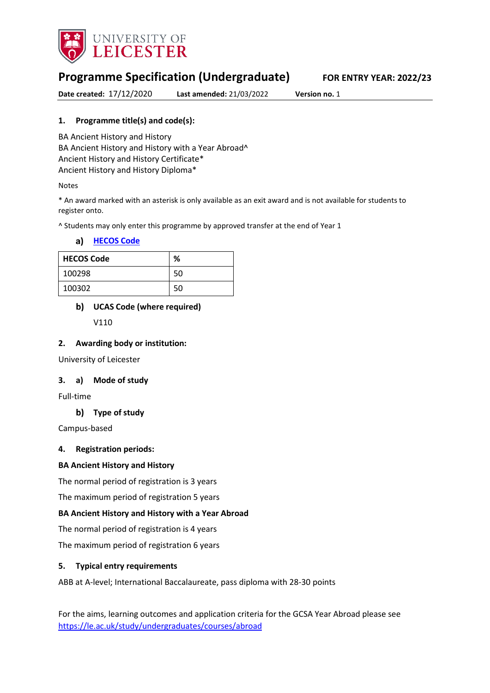

# **Programme Specification (Undergraduate) FOR ENTRY YEAR: 2022/23**

**Date created:** 17/12/2020 **Last amended:** 21/03/2022 **Version no.** 1

## **1. Programme title(s) and code(s):**

BA Ancient History and History BA Ancient History and History with a Year Abroad<sup>^</sup> Ancient History and History Certificate\* Ancient History and History Diploma\*

#### Notes

\* An award marked with an asterisk is only available as an exit award and is not available for students to register onto.

^ Students may only enter this programme by approved transfer at the end of Year 1

### **[HECOS Code](https://www.hesa.ac.uk/innovation/hecos)**

| <b>HECOS Code</b> | %  |
|-------------------|----|
| 100298            | 50 |
| 100302            | 50 |

### **UCAS Code (where required)**

V110

### **2. Awarding body or institution:**

University of Leicester

### **3. a) Mode of study**

Full-time

### **Type of study**

Campus-based

### **4. Registration periods:**

### **BA Ancient History and History**

The normal period of registration is 3 years

The maximum period of registration 5 years

### **BA Ancient History and History with a Year Abroad**

The normal period of registration is 4 years

The maximum period of registration 6 years

### **5. Typical entry requirements**

ABB at A-level; International Baccalaureate, pass diploma with 28-30 points

For the aims, learning outcomes and application criteria for the GCSA Year Abroad please see <https://le.ac.uk/study/undergraduates/courses/abroad>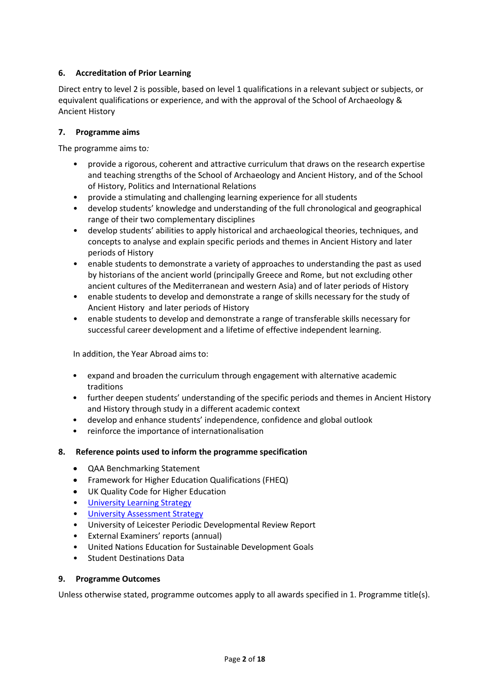## **6. Accreditation of Prior Learning**

Direct entry to level 2 is possible, based on level 1 qualifications in a relevant subject or subjects, or equivalent qualifications or experience, and with the approval of the School of Archaeology & Ancient History

## **7. Programme aims**

The programme aims to*:*

- provide a rigorous, coherent and attractive curriculum that draws on the research expertise and teaching strengths of the School of Archaeology and Ancient History, and of the School of History, Politics and International Relations
- provide a stimulating and challenging learning experience for all students
- develop students' knowledge and understanding of the full chronological and geographical range of their two complementary disciplines
- develop students' abilities to apply historical and archaeological theories, techniques, and concepts to analyse and explain specific periods and themes in Ancient History and later periods of History
- enable students to demonstrate a variety of approaches to understanding the past as used by historians of the ancient world (principally Greece and Rome, but not excluding other ancient cultures of the Mediterranean and western Asia) and of later periods of History
- enable students to develop and demonstrate a range of skills necessary for the study of Ancient History and later periods of History
- enable students to develop and demonstrate a range of transferable skills necessary for successful career development and a lifetime of effective independent learning.

In addition, the Year Abroad aims to:

- expand and broaden the curriculum through engagement with alternative academic traditions
- further deepen students' understanding of the specific periods and themes in Ancient History and History through study in a different academic context
- develop and enhance students' independence, confidence and global outlook
- reinforce the importance of internationalisation
- **8. Reference points used to inform the programme specification**
	- QAA Benchmarking Statement
	- Framework for Higher Education Qualifications (FHEQ)
	- UK Quality Code for Higher Education
	- University Learnin[g Strategy](https://www2.le.ac.uk/offices/sas2/quality/learnteach)
	- [University Assessment Strategy](https://www2.le.ac.uk/offices/sas2/quality/learnteach)
	- University of Leicester Periodic Developmental Review Report
	- External Examiners' reports (annual)
	- United Nations Education for Sustainable Development Goals
	- Student Destinations Data

## **9. Programme Outcomes**

Unless otherwise stated, programme outcomes apply to all awards specified in 1. Programme title(s).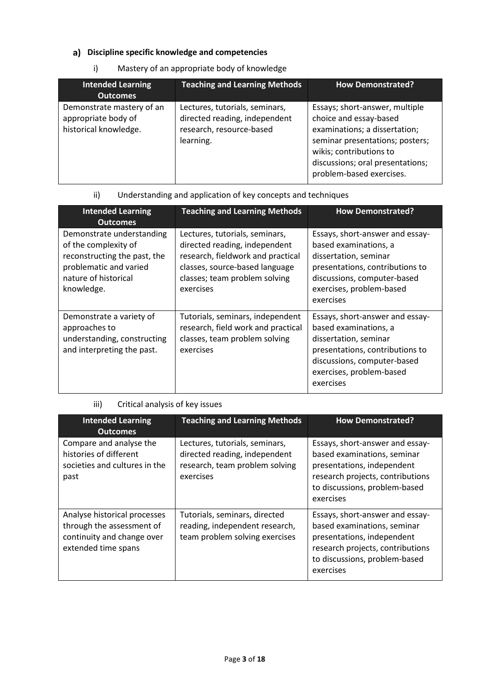# **Discipline specific knowledge and competencies**

# i) Mastery of an appropriate body of knowledge

| <b>Intended Learning</b>                                                  | <b>Teaching and Learning Methods</b>                                                                     | <b>How Demonstrated?</b>                                                                                                                                                                                                |
|---------------------------------------------------------------------------|----------------------------------------------------------------------------------------------------------|-------------------------------------------------------------------------------------------------------------------------------------------------------------------------------------------------------------------------|
| <b>Outcomes</b>                                                           |                                                                                                          |                                                                                                                                                                                                                         |
| Demonstrate mastery of an<br>appropriate body of<br>historical knowledge. | Lectures, tutorials, seminars,<br>directed reading, independent<br>research, resource-based<br>learning. | Essays; short-answer, multiple<br>choice and essay-based<br>examinations; a dissertation;<br>seminar presentations; posters;<br>wikis; contributions to<br>discussions; oral presentations;<br>problem-based exercises. |

## ii) Understanding and application of key concepts and techniques

| <b>Intended Learning</b><br><b>Outcomes</b>                                                                                                       | <b>Teaching and Learning Methods</b>                                                                                                                                                 | <b>How Demonstrated?</b>                                                                                                                                                                     |
|---------------------------------------------------------------------------------------------------------------------------------------------------|--------------------------------------------------------------------------------------------------------------------------------------------------------------------------------------|----------------------------------------------------------------------------------------------------------------------------------------------------------------------------------------------|
| Demonstrate understanding<br>of the complexity of<br>reconstructing the past, the<br>problematic and varied<br>nature of historical<br>knowledge. | Lectures, tutorials, seminars,<br>directed reading, independent<br>research, fieldwork and practical<br>classes, source-based language<br>classes; team problem solving<br>exercises | Essays, short-answer and essay-<br>based examinations, a<br>dissertation, seminar<br>presentations, contributions to<br>discussions, computer-based<br>exercises, problem-based<br>exercises |
| Demonstrate a variety of<br>approaches to<br>understanding, constructing<br>and interpreting the past.                                            | Tutorials, seminars, independent<br>research, field work and practical<br>classes, team problem solving<br>exercises                                                                 | Essays, short-answer and essay-<br>based examinations, a<br>dissertation, seminar<br>presentations, contributions to<br>discussions, computer-based<br>exercises, problem-based<br>exercises |

# iii) Critical analysis of key issues

| <b>Intended Learning</b><br><b>Outcomes</b>                                                                    | <b>Teaching and Learning Methods</b>                                                                           | <b>How Demonstrated?</b>                                                                                                                                                       |
|----------------------------------------------------------------------------------------------------------------|----------------------------------------------------------------------------------------------------------------|--------------------------------------------------------------------------------------------------------------------------------------------------------------------------------|
| Compare and analyse the<br>histories of different<br>societies and cultures in the<br>past                     | Lectures, tutorials, seminars,<br>directed reading, independent<br>research, team problem solving<br>exercises | Essays, short-answer and essay-<br>based examinations, seminar<br>presentations, independent<br>research projects, contributions<br>to discussions, problem-based<br>exercises |
| Analyse historical processes<br>through the assessment of<br>continuity and change over<br>extended time spans | Tutorials, seminars, directed<br>reading, independent research,<br>team problem solving exercises              | Essays, short-answer and essay-<br>based examinations, seminar<br>presentations, independent<br>research projects, contributions<br>to discussions, problem-based<br>exercises |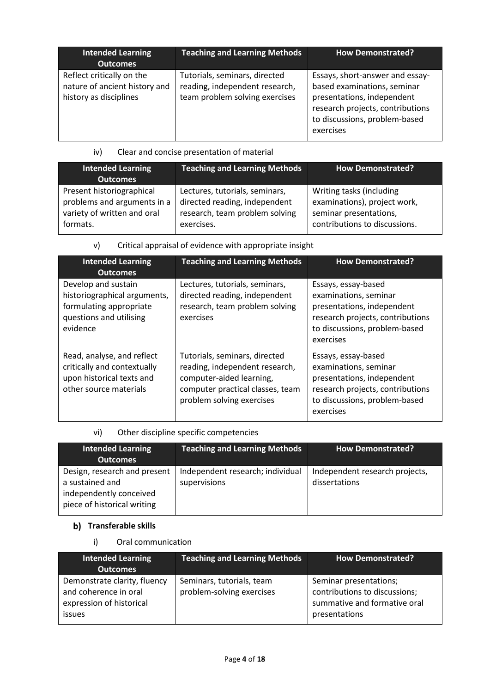| <b>Intended Learning</b><br><b>Outcomes</b>                                          | <b>Teaching and Learning Methods</b>                                                              | <b>How Demonstrated?</b>                                                                                                                                                       |
|--------------------------------------------------------------------------------------|---------------------------------------------------------------------------------------------------|--------------------------------------------------------------------------------------------------------------------------------------------------------------------------------|
| Reflect critically on the<br>nature of ancient history and<br>history as disciplines | Tutorials, seminars, directed<br>reading, independent research,<br>team problem solving exercises | Essays, short-answer and essay-<br>based examinations, seminar<br>presentations, independent<br>research projects, contributions<br>to discussions, problem-based<br>exercises |

iv) Clear and concise presentation of material

| <b>Intended Learning</b><br><b>Outcomes</b> | <b>Teaching and Learning Methods</b> | <b>How Demonstrated?</b>      |
|---------------------------------------------|--------------------------------------|-------------------------------|
| Present historiographical                   | Lectures, tutorials, seminars,       | Writing tasks (including      |
| problems and arguments in a                 | directed reading, independent        | examinations), project work,  |
| variety of written and oral                 | research, team problem solving       | seminar presentations,        |
| formats.                                    | exercises.                           | contributions to discussions. |

v) Critical appraisal of evidence with appropriate insight

| <b>Intended Learning</b><br><b>Outcomes</b>                                                                           | <b>Teaching and Learning Methods</b>                                                                                                                         | <b>How Demonstrated?</b>                                                                                                                                     |
|-----------------------------------------------------------------------------------------------------------------------|--------------------------------------------------------------------------------------------------------------------------------------------------------------|--------------------------------------------------------------------------------------------------------------------------------------------------------------|
| Develop and sustain<br>historiographical arguments,<br>formulating appropriate<br>questions and utilising<br>evidence | Lectures, tutorials, seminars,<br>directed reading, independent<br>research, team problem solving<br>exercises                                               | Essays, essay-based<br>examinations, seminar<br>presentations, independent<br>research projects, contributions<br>to discussions, problem-based<br>exercises |
| Read, analyse, and reflect<br>critically and contextually<br>upon historical texts and<br>other source materials      | Tutorials, seminars, directed<br>reading, independent research,<br>computer-aided learning,<br>computer practical classes, team<br>problem solving exercises | Essays, essay-based<br>examinations, seminar<br>presentations, independent<br>research projects, contributions<br>to discussions, problem-based<br>exercises |

vi) Other discipline specific competencies

| <b>Intended Learning</b><br><b>Outcomes</b>                                                               | <b>Teaching and Learning Methods</b>             | <b>How Demonstrated?</b>                        |
|-----------------------------------------------------------------------------------------------------------|--------------------------------------------------|-------------------------------------------------|
| Design, research and present<br>a sustained and<br>independently conceived<br>piece of historical writing | Independent research; individual<br>supervisions | Independent research projects,<br>dissertations |

# **b)** Transferable skills

i) Oral communication

| <b>Intended Learning</b><br><b>Outcomes</b>                                                 | <b>Teaching and Learning Methods</b>                   | <b>How Demonstrated?</b>                                                                                 |
|---------------------------------------------------------------------------------------------|--------------------------------------------------------|----------------------------------------------------------------------------------------------------------|
| Demonstrate clarity, fluency<br>and coherence in oral<br>expression of historical<br>issues | Seminars, tutorials, team<br>problem-solving exercises | Seminar presentations;<br>contributions to discussions;<br>summative and formative oral<br>presentations |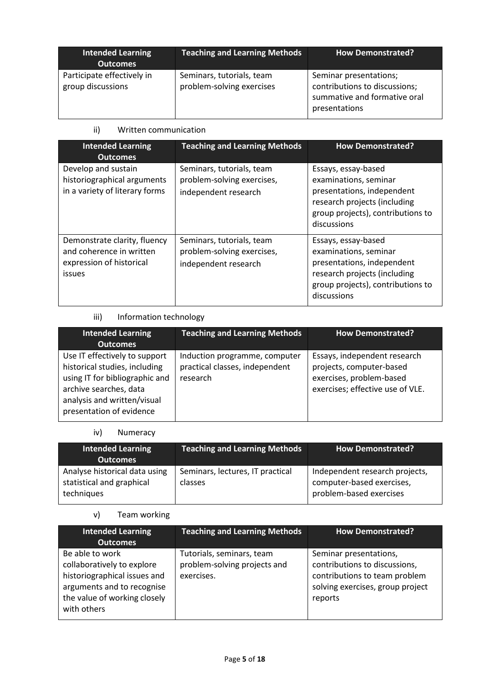| <b>Intended Learning</b><br><b>Outcomes</b>     | <b>Teaching and Learning Methods</b>                   | <b>How Demonstrated?</b>                                                                                 |
|-------------------------------------------------|--------------------------------------------------------|----------------------------------------------------------------------------------------------------------|
| Participate effectively in<br>group discussions | Seminars, tutorials, team<br>problem-solving exercises | Seminar presentations;<br>contributions to discussions;<br>summative and formative oral<br>presentations |

## ii) Written communication

| <b>Intended Learning</b><br><b>Outcomes</b>                                                           | <b>Teaching and Learning Methods</b>                                            | <b>How Demonstrated?</b>                                                                                                                                       |
|-------------------------------------------------------------------------------------------------------|---------------------------------------------------------------------------------|----------------------------------------------------------------------------------------------------------------------------------------------------------------|
| Develop and sustain<br>historiographical arguments<br>in a variety of literary forms                  | Seminars, tutorials, team<br>problem-solving exercises,<br>independent research | Essays, essay-based<br>examinations, seminar<br>presentations, independent<br>research projects (including<br>group projects), contributions to<br>discussions |
| Demonstrate clarity, fluency<br>and coherence in written<br>expression of historical<br><i>issues</i> | Seminars, tutorials, team<br>problem-solving exercises,<br>independent research | Essays, essay-based<br>examinations, seminar<br>presentations, independent<br>research projects (including<br>group projects), contributions to<br>discussions |

# iii) Information technology

| <b>Intended Learning</b><br><b>Outcomes</b>                                                                                                                                           | <b>Teaching and Learning Methods</b>                                        | <b>How Demonstrated?</b>                                                                                                 |
|---------------------------------------------------------------------------------------------------------------------------------------------------------------------------------------|-----------------------------------------------------------------------------|--------------------------------------------------------------------------------------------------------------------------|
| Use IT effectively to support<br>historical studies, including<br>using IT for bibliographic and<br>archive searches, data<br>analysis and written/visual<br>presentation of evidence | Induction programme, computer<br>practical classes, independent<br>research | Essays, independent research<br>projects, computer-based<br>exercises, problem-based<br>exercises; effective use of VLE. |

# iv) Numeracy

| <b>Intended Learning</b><br><b>Outcomes</b>                              | Teaching and Learning Methods               | <b>How Demonstrated?</b>                                                               |
|--------------------------------------------------------------------------|---------------------------------------------|----------------------------------------------------------------------------------------|
| Analyse historical data using<br>statistical and graphical<br>techniques | Seminars, lectures, IT practical<br>classes | Independent research projects,<br>computer-based exercises,<br>problem-based exercises |

# v) Team working

| <b>Intended Learning</b><br><b>Outcomes</b>                                                                                                                | <b>Teaching and Learning Methods</b>                                    | <b>How Demonstrated?</b>                                                                                                                |
|------------------------------------------------------------------------------------------------------------------------------------------------------------|-------------------------------------------------------------------------|-----------------------------------------------------------------------------------------------------------------------------------------|
| Be able to work<br>collaboratively to explore<br>historiographical issues and<br>arguments and to recognise<br>the value of working closely<br>with others | Tutorials, seminars, team<br>problem-solving projects and<br>exercises. | Seminar presentations,<br>contributions to discussions,<br>contributions to team problem<br>solving exercises, group project<br>reports |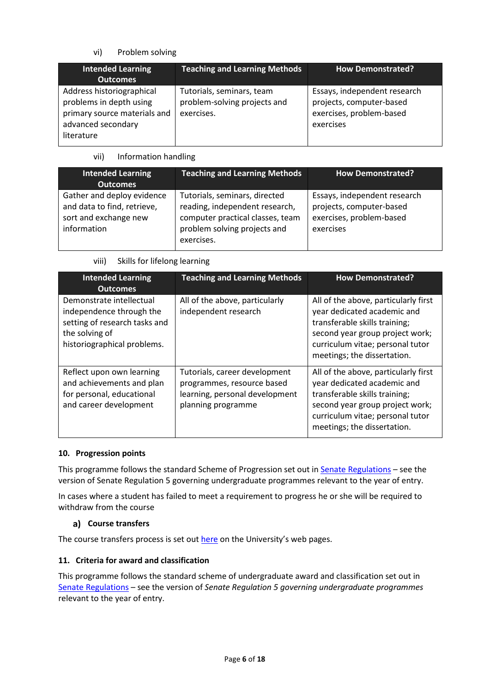# vi) Problem solving

| <b>Intended Learning</b><br><b>Outcomes</b>                                                                              | <b>Teaching and Learning Methods</b>                                    | <b>How Demonstrated?</b>                                                                          |
|--------------------------------------------------------------------------------------------------------------------------|-------------------------------------------------------------------------|---------------------------------------------------------------------------------------------------|
| Address historiographical<br>problems in depth using<br>primary source materials and<br>advanced secondary<br>literature | Tutorials, seminars, team<br>problem-solving projects and<br>exercises. | Essays, independent research<br>projects, computer-based<br>exercises, problem-based<br>exercises |

vii) Information handling

| <b>Intended Learning</b><br><b>Outcomes</b>                                                       | <b>Teaching and Learning Methods</b>                                                                                                              | <b>How Demonstrated?</b>                                                                          |
|---------------------------------------------------------------------------------------------------|---------------------------------------------------------------------------------------------------------------------------------------------------|---------------------------------------------------------------------------------------------------|
| Gather and deploy evidence<br>and data to find, retrieve,<br>sort and exchange new<br>information | Tutorials, seminars, directed<br>reading, independent research,<br>computer practical classes, team<br>problem solving projects and<br>exercises. | Essays, independent research<br>projects, computer-based<br>exercises, problem-based<br>exercises |

viii) Skills for lifelong learning

| <b>Intended Learning</b><br><b>Outcomes</b>                                                                                            | <b>Teaching and Learning Methods</b>                                                                                | <b>How Demonstrated?</b>                                                                                                                                                                                   |
|----------------------------------------------------------------------------------------------------------------------------------------|---------------------------------------------------------------------------------------------------------------------|------------------------------------------------------------------------------------------------------------------------------------------------------------------------------------------------------------|
| Demonstrate intellectual<br>independence through the<br>setting of research tasks and<br>the solving of<br>historiographical problems. | All of the above, particularly<br>independent research                                                              | All of the above, particularly first<br>year dedicated academic and<br>transferable skills training;<br>second year group project work;<br>curriculum vitae; personal tutor<br>meetings; the dissertation. |
| Reflect upon own learning<br>and achievements and plan<br>for personal, educational<br>and career development                          | Tutorials, career development<br>programmes, resource based<br>learning, personal development<br>planning programme | All of the above, particularly first<br>year dedicated academic and<br>transferable skills training;<br>second year group project work;<br>curriculum vitae; personal tutor<br>meetings; the dissertation. |

## **10. Progression points**

This programme follows the standard Scheme of Progression set out i[n Senate Regulations](http://www.le.ac.uk/senate-regulations) - see the version of Senate Regulation 5 governing undergraduate programmes relevant to the year of entry.

In cases where a student has failed to meet a requirement to progress he or she will be required to withdraw from the course

# **Course transfers**

The course transfers process is set out [here](https://www2.le.ac.uk/offices/sas2/courses/transfercourse) on the University's web pages.

## **11. Criteria for award and classification**

This programme follows the standard scheme of undergraduate award and classification set out in [Senate Regulations](http://www.le.ac.uk/senate-regulations) – see the version of *Senate Regulation 5 governing undergraduate programmes* relevant to the year of entry.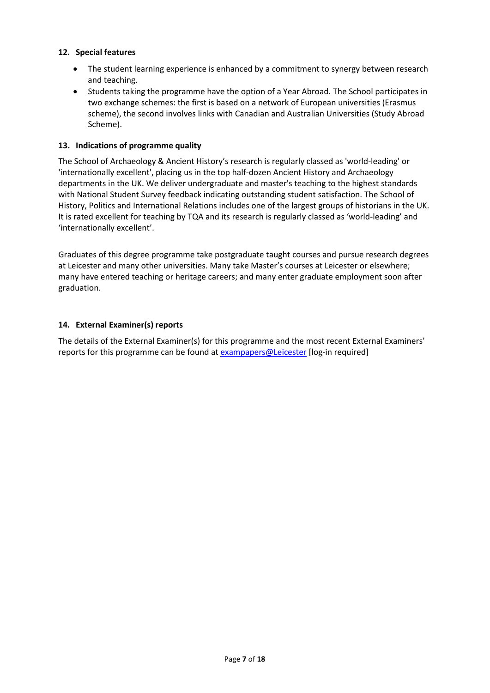### **12. Special features**

- The student learning experience is enhanced by a commitment to synergy between research and teaching.
- Students taking the programme have the option of a Year Abroad. The School participates in two exchange schemes: the first is based on a network of European universities (Erasmus scheme), the second involves links with Canadian and Australian Universities (Study Abroad Scheme).

### **13. Indications of programme quality**

The School of Archaeology & Ancient History's research is regularly classed as 'world-leading' or 'internationally excellent', placing us in the top half-dozen Ancient History and Archaeology departments in the UK. We deliver undergraduate and master's teaching to the highest standards with National Student Survey feedback indicating outstanding student satisfaction. The School of History, Politics and International Relations includes one of the largest groups of historians in the UK. It is rated excellent for teaching by TQA and its research is regularly classed as 'world-leading' and 'internationally excellent'.

Graduates of this degree programme take postgraduate taught courses and pursue research degrees at Leicester and many other universities. Many take Master's courses at Leicester or elsewhere; many have entered teaching or heritage careers; and many enter graduate employment soon after graduation.

### **14. External Examiner(s) reports**

The details of the External Examiner(s) for this programme and the most recent External Examiners' reports for this programme can be found at **[exampapers@Leicester](https://exampapers.le.ac.uk/)** [log-in required]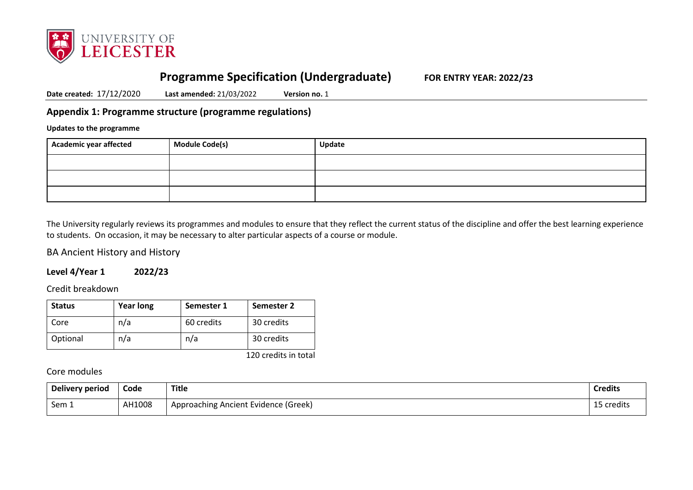

# **Programme Specification (Undergraduate) FOR ENTRY YEAR: 2022/23**

**Date created:** 17/12/2020 **Last amended:** 21/03/2022 **Version no.** 1

# **Appendix 1: Programme structure (programme regulations)**

**Updates to the programme**

| Academic year affected | <b>Module Code(s)</b> | <b>Update</b> |
|------------------------|-----------------------|---------------|
|                        |                       |               |
|                        |                       |               |
|                        |                       |               |

The University regularly reviews its programmes and modules to ensure that they reflect the current status of the discipline and offer the best learning experience to students. On occasion, it may be necessary to alter particular aspects of a course or module.

BA Ancient History and History

**Level 4/Year 1 2022/23**

Credit breakdown

| <b>Status</b> | <b>Year long</b> | Semester 1 | Semester 2 |
|---------------|------------------|------------|------------|
| Core          | n/a              | 60 credits | 30 credits |
| Optional      | n/a              | n/a        | 30 credits |

120 credits in total

Core modules

| Delivery period | Code   | <b>Title</b>                         | Credits    |
|-----------------|--------|--------------------------------------|------------|
| Sem 1           | AH1008 | Approaching Ancient Evidence (Greek) | 15 credits |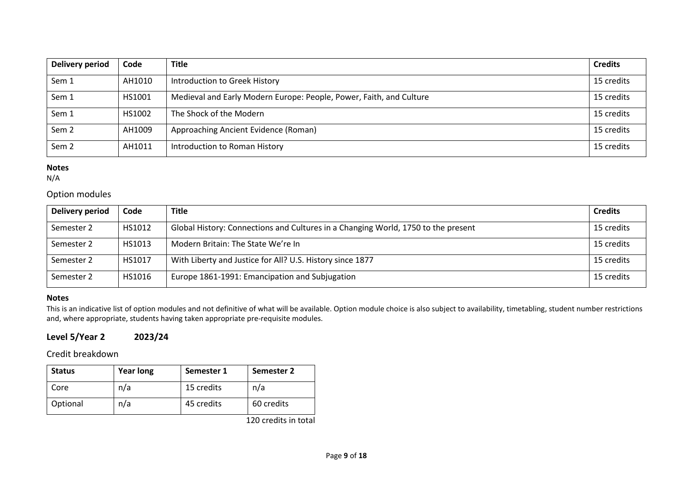| <b>Delivery period</b> | Code   | <b>Title</b>                                                        | <b>Credits</b> |
|------------------------|--------|---------------------------------------------------------------------|----------------|
| Sem 1                  | AH1010 | Introduction to Greek History                                       | 15 credits     |
| Sem 1                  | HS1001 | Medieval and Early Modern Europe: People, Power, Faith, and Culture | 15 credits     |
| Sem 1                  | HS1002 | The Shock of the Modern                                             | 15 credits     |
| Sem <sub>2</sub>       | AH1009 | Approaching Ancient Evidence (Roman)                                | 15 credits     |
| Sem <sub>2</sub>       | AH1011 | Introduction to Roman History                                       | 15 credits     |

N/A

# Option modules

| Delivery period | Code   | <b>Title</b>                                                                      | <b>Credits</b> |
|-----------------|--------|-----------------------------------------------------------------------------------|----------------|
| Semester 2      | HS1012 | Global History: Connections and Cultures in a Changing World, 1750 to the present | 15 credits     |
| Semester 2      | HS1013 | Modern Britain: The State We're In                                                | 15 credits     |
| Semester 2      | HS1017 | With Liberty and Justice for All? U.S. History since 1877                         | 15 credits     |
| Semester 2      | HS1016 | Europe 1861-1991: Emancipation and Subjugation                                    | 15 credits     |

# **Notes**

This is an indicative list of option modules and not definitive of what will be available. Option module choice is also subject to availability, timetabling, student number restrictions and, where appropriate, students having taken appropriate pre-requisite modules.

# **Level 5/Year 2 2023/24**

# Credit breakdown

| <b>Status</b> | <b>Year long</b> | Semester 1 | Semester 2 |
|---------------|------------------|------------|------------|
| Core          | n/a              | 15 credits | n/a        |
| Optional      | n/a              | 45 credits | 60 credits |

120 credits in total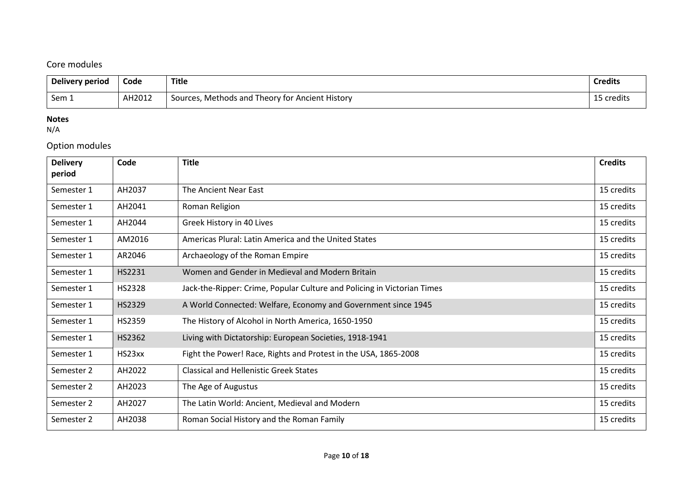# Core modules

| Delivery period | Code   | <b>Title</b>                                       | <b>Credits</b> |
|-----------------|--------|----------------------------------------------------|----------------|
| Sem 1           | AH2012 | Theory for Ancient History<br>Sources, Methods and | 15 credits     |

### **Notes**

N/A

# Option modules

| <b>Delivery</b><br>period | Code          | <b>Title</b>                                                            | <b>Credits</b> |
|---------------------------|---------------|-------------------------------------------------------------------------|----------------|
| Semester 1                | AH2037        | The Ancient Near East                                                   | 15 credits     |
| Semester 1                | AH2041        | Roman Religion                                                          | 15 credits     |
| Semester 1                | AH2044        | Greek History in 40 Lives                                               | 15 credits     |
| Semester 1                | AM2016        | Americas Plural: Latin America and the United States                    | 15 credits     |
| Semester 1                | AR2046        | Archaeology of the Roman Empire                                         | 15 credits     |
| Semester 1                | HS2231        | Women and Gender in Medieval and Modern Britain                         | 15 credits     |
| Semester 1                | <b>HS2328</b> | Jack-the-Ripper: Crime, Popular Culture and Policing in Victorian Times | 15 credits     |
| Semester 1                | HS2329        | A World Connected: Welfare, Economy and Government since 1945           | 15 credits     |
| Semester 1                | <b>HS2359</b> | The History of Alcohol in North America, 1650-1950                      | 15 credits     |
| Semester 1                | HS2362        | Living with Dictatorship: European Societies, 1918-1941                 | 15 credits     |
| Semester 1                | HS23xx        | Fight the Power! Race, Rights and Protest in the USA, 1865-2008         | 15 credits     |
| Semester 2                | AH2022        | <b>Classical and Hellenistic Greek States</b>                           | 15 credits     |
| Semester 2                | AH2023        | The Age of Augustus                                                     | 15 credits     |
| Semester 2                | AH2027        | The Latin World: Ancient, Medieval and Modern                           | 15 credits     |
| Semester 2                | AH2038        | Roman Social History and the Roman Family                               | 15 credits     |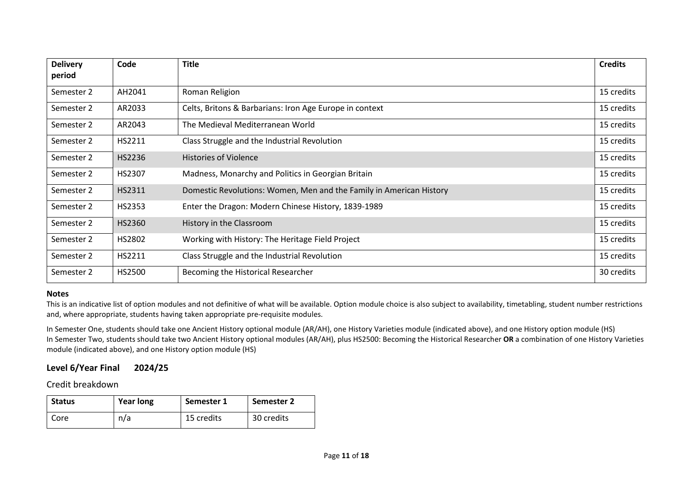| <b>Delivery</b> | Code          | <b>Title</b>                                                        | <b>Credits</b> |
|-----------------|---------------|---------------------------------------------------------------------|----------------|
| period          |               |                                                                     |                |
| Semester 2      | AH2041        | Roman Religion                                                      | 15 credits     |
| Semester 2      | AR2033        | Celts, Britons & Barbarians: Iron Age Europe in context             | 15 credits     |
| Semester 2      | AR2043        | The Medieval Mediterranean World                                    | 15 credits     |
| Semester 2      | HS2211        | Class Struggle and the Industrial Revolution                        | 15 credits     |
| Semester 2      | HS2236        | <b>Histories of Violence</b>                                        | 15 credits     |
| Semester 2      | HS2307        | Madness, Monarchy and Politics in Georgian Britain                  | 15 credits     |
| Semester 2      | HS2311        | Domestic Revolutions: Women, Men and the Family in American History | 15 credits     |
| Semester 2      | <b>HS2353</b> | Enter the Dragon: Modern Chinese History, 1839-1989                 | 15 credits     |
| Semester 2      | HS2360        | History in the Classroom                                            | 15 credits     |
| Semester 2      | HS2802        | Working with History: The Heritage Field Project                    | 15 credits     |
| Semester 2      | HS2211        | Class Struggle and the Industrial Revolution                        | 15 credits     |
| Semester 2      | HS2500        | Becoming the Historical Researcher                                  | 30 credits     |

This is an indicative list of option modules and not definitive of what will be available. Option module choice is also subject to availability, timetabling, student number restrictions and, where appropriate, students having taken appropriate pre-requisite modules.

In Semester One, students should take one Ancient History optional module (AR/AH), one History Varieties module (indicated above), and one History option module (HS) In Semester Two, students should take two Ancient History optional modules (AR/AH), plus HS2500: Becoming the Historical Researcher **OR** a combination of one History Varieties module (indicated above), and one History option module (HS)

# **Level 6/Year Final 2024/25**

Credit breakdown

| <b>Status</b> | <b>Year long</b> | Semester 1 | <b>Semester 2</b> |
|---------------|------------------|------------|-------------------|
| Core          | n/a              | 15 credits | 30 credits        |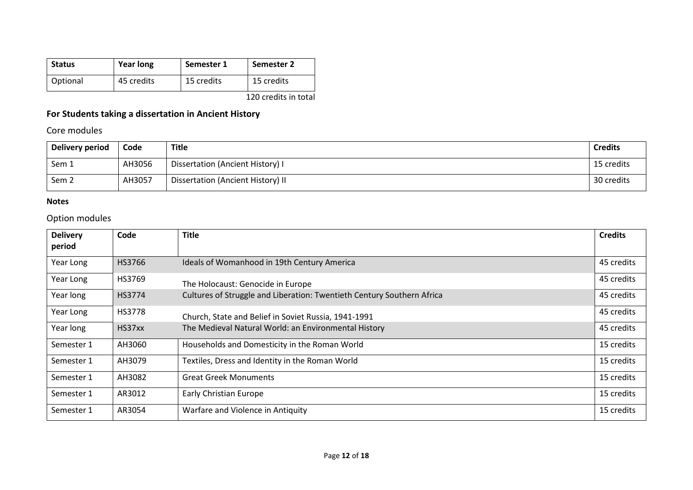| <b>Status</b> | <b>Year long</b> | Semester 1 | Semester 2 |
|---------------|------------------|------------|------------|
| Optional      | 45 credits       | 15 credits | 15 credits |
|               |                  |            |            |

120 credits in total

# **For Students taking a dissertation in Ancient History**

# Core modules

| Delivery period  | Code   | Title                             | <b>Credits</b> |
|------------------|--------|-----------------------------------|----------------|
| Sem 1            | AH3056 | Dissertation (Ancient History) I  | 15 credits     |
| Sem <sub>2</sub> | AH3057 | Dissertation (Ancient History) II | 30 credits     |

# **Notes**

# Option modules

| <b>Delivery</b> | Code          | <b>Title</b>                                                           | <b>Credits</b> |
|-----------------|---------------|------------------------------------------------------------------------|----------------|
| period          |               |                                                                        |                |
| Year Long       | HS3766        | Ideals of Womanhood in 19th Century America                            | 45 credits     |
| Year Long       | HS3769        | The Holocaust: Genocide in Europe                                      | 45 credits     |
| Year long       | HS3774        | Cultures of Struggle and Liberation: Twentieth Century Southern Africa | 45 credits     |
| Year Long       | <b>HS3778</b> | Church, State and Belief in Soviet Russia, 1941-1991                   | 45 credits     |
| Year long       | HS37xx        | The Medieval Natural World: an Environmental History                   | 45 credits     |
| Semester 1      | AH3060        | Households and Domesticity in the Roman World                          | 15 credits     |
| Semester 1      | AH3079        | Textiles, Dress and Identity in the Roman World                        | 15 credits     |
| Semester 1      | AH3082        | <b>Great Greek Monuments</b>                                           | 15 credits     |
| Semester 1      | AR3012        | <b>Early Christian Europe</b>                                          | 15 credits     |
| Semester 1      | AR3054        | Warfare and Violence in Antiquity                                      | 15 credits     |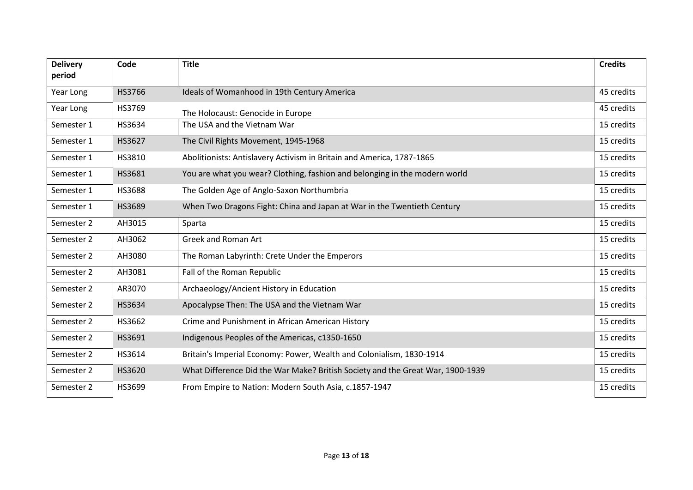| <b>Delivery</b><br>period | Code          | <b>Title</b>                                                                   | <b>Credits</b> |
|---------------------------|---------------|--------------------------------------------------------------------------------|----------------|
| Year Long                 | HS3766        | Ideals of Womanhood in 19th Century America                                    | 45 credits     |
| Year Long                 | HS3769        | The Holocaust: Genocide in Europe                                              | 45 credits     |
| Semester 1                | HS3634        | The USA and the Vietnam War                                                    | 15 credits     |
| Semester 1                | HS3627        | The Civil Rights Movement, 1945-1968                                           | 15 credits     |
| Semester 1                | HS3810        | Abolitionists: Antislavery Activism in Britain and America, 1787-1865          | 15 credits     |
| Semester 1                | HS3681        | You are what you wear? Clothing, fashion and belonging in the modern world     | 15 credits     |
| Semester 1                | <b>HS3688</b> | The Golden Age of Anglo-Saxon Northumbria                                      | 15 credits     |
| Semester 1                | <b>HS3689</b> | When Two Dragons Fight: China and Japan at War in the Twentieth Century        | 15 credits     |
| Semester 2                | AH3015        | Sparta                                                                         | 15 credits     |
| Semester 2                | AH3062        | <b>Greek and Roman Art</b>                                                     | 15 credits     |
| Semester 2                | AH3080        | The Roman Labyrinth: Crete Under the Emperors                                  | 15 credits     |
| Semester 2                | AH3081        | Fall of the Roman Republic                                                     | 15 credits     |
| Semester 2                | AR3070        | Archaeology/Ancient History in Education                                       | 15 credits     |
| Semester 2                | HS3634        | Apocalypse Then: The USA and the Vietnam War                                   | 15 credits     |
| Semester 2                | HS3662        | Crime and Punishment in African American History                               | 15 credits     |
| Semester 2                | HS3691        | Indigenous Peoples of the Americas, c1350-1650                                 | 15 credits     |
| Semester 2                | HS3614        | Britain's Imperial Economy: Power, Wealth and Colonialism, 1830-1914           | 15 credits     |
| Semester 2                | HS3620        | What Difference Did the War Make? British Society and the Great War, 1900-1939 | 15 credits     |
| Semester 2                | HS3699        | From Empire to Nation: Modern South Asia, c.1857-1947                          | 15 credits     |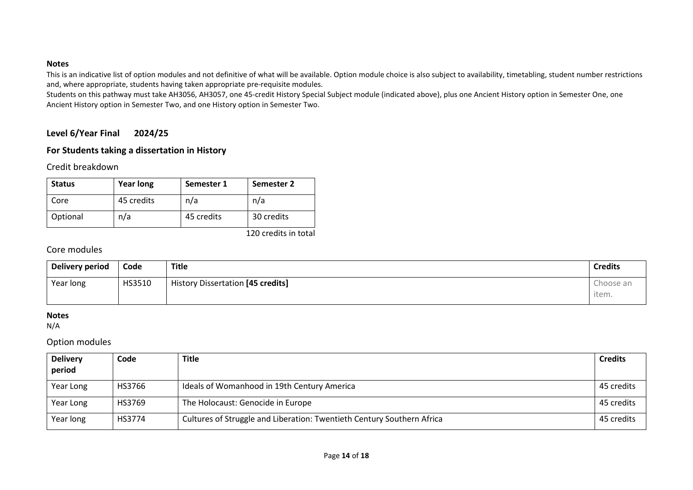This is an indicative list of option modules and not definitive of what will be available. Option module choice is also subject to availability, timetabling, student number restrictions and, where appropriate, students having taken appropriate pre-requisite modules.

Students on this pathway must take AH3056, AH3057, one 45-credit History Special Subject module (indicated above), plus one Ancient History option in Semester One, one Ancient History option in Semester Two, and one History option in Semester Two.

# **Level 6/Year Final 2024/25**

# **For Students taking a dissertation in History**

## Credit breakdown

| <b>Status</b> | <b>Year long</b> | Semester 1 | Semester 2             |
|---------------|------------------|------------|------------------------|
| Core          | 45 credits       | n/a        | n/a                    |
| Optional      | n/a              | 45 credits | 30 credits             |
|               |                  |            | $120$ aradita in tatal |

120 credits in total

# Core modules

| <b>Delivery period</b> | Code   | Title                                    | <b>Credits</b>     |
|------------------------|--------|------------------------------------------|--------------------|
| Year long              | HS3510 | <b>History Dissertation [45 credits]</b> | Choose an<br>item. |

### **Notes**

N/A

## Option modules

| <b>Delivery</b><br>period | Code   | <b>Title</b>                                                           | <b>Credits</b> |
|---------------------------|--------|------------------------------------------------------------------------|----------------|
| Year Long                 | HS3766 | Ideals of Womanhood in 19th Century America                            | 45 credits     |
| Year Long                 | HS3769 | The Holocaust: Genocide in Europe                                      | 45 credits     |
| Year long                 | HS3774 | Cultures of Struggle and Liberation: Twentieth Century Southern Africa | 45 credits     |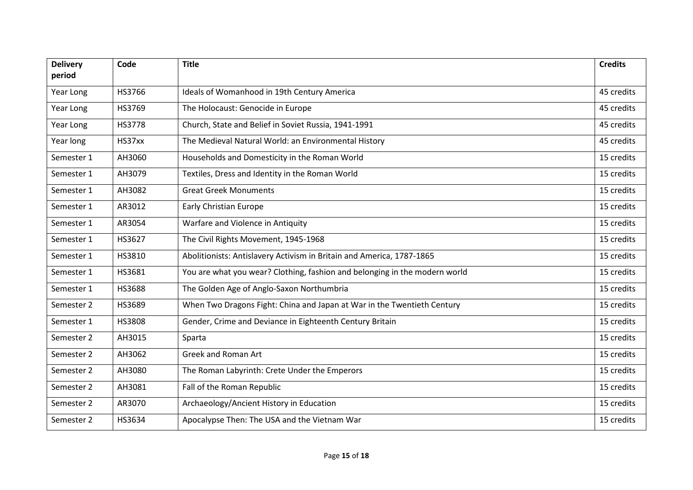| <b>Delivery</b><br>period | Code          | <b>Title</b>                                                               | <b>Credits</b> |
|---------------------------|---------------|----------------------------------------------------------------------------|----------------|
| Year Long                 | HS3766        | Ideals of Womanhood in 19th Century America                                | 45 credits     |
| Year Long                 | HS3769        | The Holocaust: Genocide in Europe                                          | 45 credits     |
| Year Long                 | <b>HS3778</b> | Church, State and Belief in Soviet Russia, 1941-1991                       | 45 credits     |
| Year long                 | HS37xx        | The Medieval Natural World: an Environmental History                       | 45 credits     |
| Semester 1                | AH3060        | Households and Domesticity in the Roman World                              | 15 credits     |
| Semester 1                | AH3079        | Textiles, Dress and Identity in the Roman World                            | 15 credits     |
| Semester 1                | AH3082        | <b>Great Greek Monuments</b>                                               | 15 credits     |
| Semester 1                | AR3012        | <b>Early Christian Europe</b>                                              | 15 credits     |
| Semester 1                | AR3054        | Warfare and Violence in Antiquity                                          | 15 credits     |
| Semester 1                | HS3627        | The Civil Rights Movement, 1945-1968                                       | 15 credits     |
| Semester 1                | HS3810        | Abolitionists: Antislavery Activism in Britain and America, 1787-1865      | 15 credits     |
| Semester 1                | HS3681        | You are what you wear? Clothing, fashion and belonging in the modern world | 15 credits     |
| Semester 1                | <b>HS3688</b> | The Golden Age of Anglo-Saxon Northumbria                                  | 15 credits     |
| Semester 2                | HS3689        | When Two Dragons Fight: China and Japan at War in the Twentieth Century    | 15 credits     |
| Semester 1                | HS3808        | Gender, Crime and Deviance in Eighteenth Century Britain                   | 15 credits     |
| Semester 2                | AH3015        | Sparta                                                                     | 15 credits     |
| Semester 2                | AH3062        | <b>Greek and Roman Art</b>                                                 | 15 credits     |
| Semester 2                | AH3080        | The Roman Labyrinth: Crete Under the Emperors                              | 15 credits     |
| Semester 2                | AH3081        | Fall of the Roman Republic                                                 | 15 credits     |
| Semester 2                | AR3070        | Archaeology/Ancient History in Education                                   | 15 credits     |
| Semester 2                | HS3634        | Apocalypse Then: The USA and the Vietnam War                               | 15 credits     |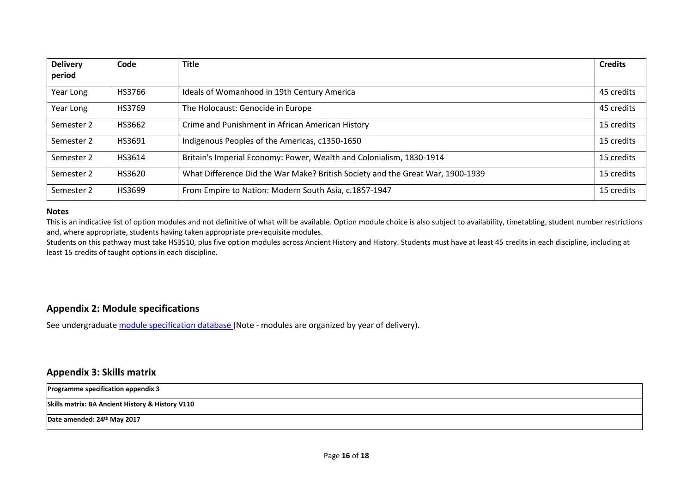| <b>Delivery</b> | Code   | Title                                                                          | <b>Credits</b> |
|-----------------|--------|--------------------------------------------------------------------------------|----------------|
| period          |        |                                                                                |                |
| Year Long       | HS3766 | Ideals of Womanhood in 19th Century America                                    | 45 credits     |
| Year Long       | HS3769 | The Holocaust: Genocide in Europe                                              | 45 credits     |
| Semester 2      | HS3662 | Crime and Punishment in African American History                               | 15 credits     |
| Semester 2      | HS3691 | Indigenous Peoples of the Americas, c1350-1650                                 | 15 credits     |
| Semester 2      | HS3614 | Britain's Imperial Economy: Power, Wealth and Colonialism, 1830-1914           | 15 credits     |
| Semester 2      | HS3620 | What Difference Did the War Make? British Society and the Great War, 1900-1939 | 15 credits     |
| Semester 2      | HS3699 | From Empire to Nation: Modern South Asia, c.1857-1947                          | 15 credits     |

This is an indicative list of option modules and not definitive of what will be available. Option module choice is also subject to availability, timetabling, student number restrictions and, where appropriate, students having taken appropriate pre-requisite modules.

Students on this pathway must take HS3510, plus five option modules across Ancient History and History. Students must have at least 45 credits in each discipline, including at least 15 credits of taught options in each discipline.

# **Appendix 2: Module specifications**

See undergraduat[e module specification database](http://www.le.ac.uk/sas/courses/documentation) (Note - modules are organized by year of delivery).

### **Appendix 3: Skills matrix**

**Programme specification appendix 3**

**Skills matrix: BA Ancient History & History V110**

**Date amended: 24th May 2017**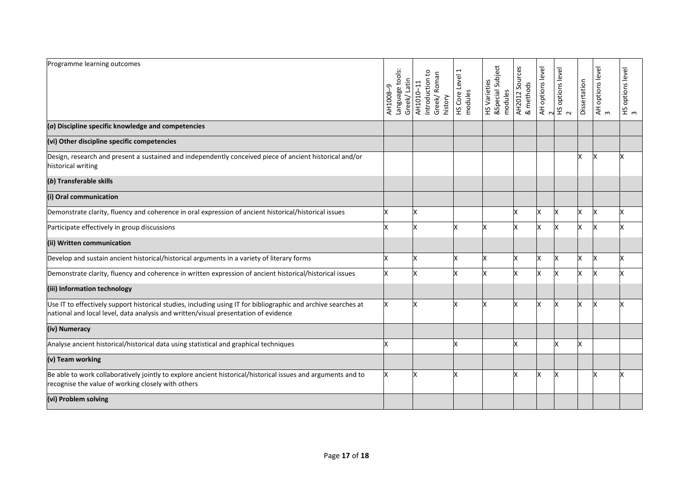| Programme learning outcomes                                                                                                                                                                           |                        |                                      |               |                                |                |                  |                |              |                  |                       |
|-------------------------------------------------------------------------------------------------------------------------------------------------------------------------------------------------------|------------------------|--------------------------------------|---------------|--------------------------------|----------------|------------------|----------------|--------------|------------------|-----------------------|
|                                                                                                                                                                                                       | Language tools:        | Greek/Roman                          | HS Core Level | &Special Subject               | AH2012 Sources | AH options level | options level  |              | AH options level | HS options level<br>3 |
|                                                                                                                                                                                                       | Greek/Latin<br>AH1008- | Introduction<br>AH1010-11<br>history | modules       | <b>HS Varieties</b><br>modules | & methods      |                  |                | Dissertation |                  |                       |
|                                                                                                                                                                                                       |                        |                                      |               |                                |                | $\sim$           | $\frac{10}{2}$ |              | ന                |                       |
| $(a)$ Discipline specific knowledge and competencies                                                                                                                                                  |                        |                                      |               |                                |                |                  |                |              |                  |                       |
| (vi) Other discipline specific competencies                                                                                                                                                           |                        |                                      |               |                                |                |                  |                |              |                  |                       |
| Design, research and present a sustained and independently conceived piece of ancient historical and/or<br>historical writing                                                                         |                        |                                      |               |                                |                |                  |                | x            |                  | ΙX                    |
| (b) Transferable skills                                                                                                                                                                               |                        |                                      |               |                                |                |                  |                |              |                  |                       |
| (i) Oral communication                                                                                                                                                                                |                        |                                      |               |                                |                |                  |                |              |                  |                       |
| Demonstrate clarity, fluency and coherence in oral expression of ancient historical/historical issues                                                                                                 |                        |                                      |               |                                | x              | x                | <b>X</b>       | x            | Ιx               | x                     |
| Participate effectively in group discussions                                                                                                                                                          |                        |                                      | x             |                                | x              |                  | x              | x            |                  | x                     |
| (ii) Written communication                                                                                                                                                                            |                        |                                      |               |                                |                |                  |                |              |                  |                       |
| Develop and sustain ancient historical/historical arguments in a variety of literary forms                                                                                                            |                        |                                      | x             | X                              | x              | x                | x              | x            | Ιx               | x                     |
| Demonstrate clarity, fluency and coherence in written expression of ancient historical/historical issues                                                                                              |                        |                                      | x             | x                              | x              | x                | x              | X.           | ΙX               | x                     |
| (iii) Information technology                                                                                                                                                                          |                        |                                      |               |                                |                |                  |                |              |                  |                       |
| Use IT to effectively support historical studies, including using IT for bibliographic and archive searches at<br>national and local level, data analysis and written/visual presentation of evidence |                        | x                                    | X             | x                              | х              | ΙX               | х              | x            | ΙX               | X                     |
| (iv) Numeracy                                                                                                                                                                                         |                        |                                      |               |                                |                |                  |                |              |                  |                       |
| Analyse ancient historical/historical data using statistical and graphical techniques                                                                                                                 |                        |                                      | x             |                                | x              |                  | x              | x            |                  |                       |
| (v) Team working                                                                                                                                                                                      |                        |                                      |               |                                |                |                  |                |              |                  |                       |
| Be able to work collaboratively jointly to explore ancient historical/historical issues and arguments and to<br>recognise the value of working closely with others                                    |                        |                                      | X             |                                | x              | X                | х              |              | x                | X                     |
| (vi) Problem solving                                                                                                                                                                                  |                        |                                      |               |                                |                |                  |                |              |                  |                       |